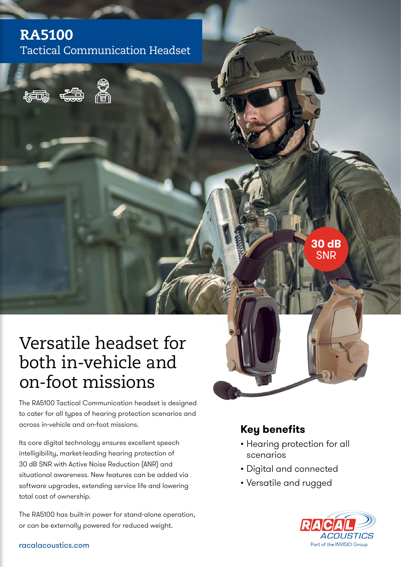### RA5100 Tactical Communication Headset



# Versatile headset for both in-vehicle and on-foot missions

The RA5100 Tactical Communication headset is designed to cater for all types of hearing protection scenarios and across in-vehicle and on-foot missions.

Its core digital technology ensures excellent speech intelligibility, market-leading hearing protection of 30 dB SNR with Active Noise Reduction (ANR) and situational awareness. New features can be added via software upgrades, extending service life and lowering total cost of ownership.

The RA5100 has built-in power for stand-alone operation, or can be externally powered for reduced weight.

### **Key benefits**

- Hearing protection for all scenarios
- Digital and connected
- Versatile and rugged



**30 dB SN<sub>D</sub>** 

#### [racalacoustics.com](https://racalacoustics.com/)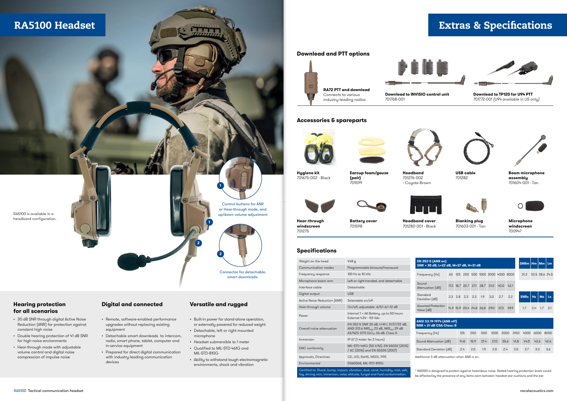RA5100 is available in a headband configuration. **<sup>1</sup>**

Control buttons for ANR or Hear-through mode, and up/down volume adjustment

**1**

**2**

Connector for detachable, smart downleads.

**2**

#### **Hearing protection for all scenarios**

- 30 dB SNR through digital Active Noise Reduction (ANR) for protection against constant high noise
- Double hearing protection of 41 dB SNR for high noise environments
- Hear-through mode with adjustable volume control and digital noise compression of impulse noise

#### **Digital and connected**

- Remote, software-enabled performance upgrades without replacing existing equipment
- Detachable smart downleads to intercom, radio, smart phone, tablet, computer and in-service equipment
- Prepared for direct digital communication with industry-leading communication devices

### **Versatile and rugged**

• Built-in power for stand-alone operation, or externally powered for reduced weight

- Detachable, left or right mounted microphone
- Headset submersible to 1 meter
- Qualified to MIL-STD-461G and MIL-STD-810G
- Ability to withstand tough electromagnetic environments, shock and vibration

#### **Downlead and PTT options**







**Downlead to TP120 for U94 PTT** 701772-001 *(U94 available in US only)*





**Downlead to INVISIO control unit** 701768-001

| Weight on the head                                                                                                                                                | 448g                                                                                                                                                    |                                                                                                                                                                                          | <b>EN 352-5 (ANR on)</b>               |             |                |      |      |                               |      |                             |      |                       | $SNRm$   Hm   Mm   Lm |     |      |
|-------------------------------------------------------------------------------------------------------------------------------------------------------------------|---------------------------------------------------------------------------------------------------------------------------------------------------------|------------------------------------------------------------------------------------------------------------------------------------------------------------------------------------------|----------------------------------------|-------------|----------------|------|------|-------------------------------|------|-----------------------------|------|-----------------------|-----------------------|-----|------|
| Communication modes                                                                                                                                               | Programmable binaural/monaural                                                                                                                          |                                                                                                                                                                                          | SNR = 30 dB, L=22 dB, M=27 dB, H=31 dB |             |                |      |      |                               |      |                             |      |                       |                       |     |      |
| Frequency response                                                                                                                                                | 100 Hz to 10 kHz                                                                                                                                        | Frequency (Hz)                                                                                                                                                                           | 63                                     | 125         |                |      |      |                               |      | 250 500 1000 2000 4000 8000 |      | 31.3                  | 33.5 28.6 24.5        |     |      |
| Microphone boom arm                                                                                                                                               | Left or right-handed, and detachable                                                                                                                    | Sound<br>Attenuation (dB)                                                                                                                                                                |                                        |             | 17.2 18.7 22.7 | 27.1 | 28.7 | 21.0                          | 40.0 |                             |      |                       |                       |     |      |
| Interface cable                                                                                                                                                   | Detachable                                                                                                                                              |                                                                                                                                                                                          |                                        |             |                |      |      |                               |      | 42.1                        |      |                       |                       |     |      |
| Digital output                                                                                                                                                    | <b>USB</b>                                                                                                                                              | Standard<br>Deviation (dB)                                                                                                                                                               |                                        | $2.3$ $2.8$ | 2.3            | 2.3  | 1.9  | 3.0                           | 2.7  | 2.2                         |      | $SNRs$   Hs   Ms   Ls |                       |     |      |
| Active Noise Reduction (ANR)                                                                                                                                      | Selectable on/off                                                                                                                                       |                                                                                                                                                                                          |                                        |             |                |      |      |                               |      |                             |      |                       |                       |     |      |
| Hear-through volume                                                                                                                                               | On/off, adjustable -6/0/+6/+12 dB                                                                                                                       | <b>Assumed Protection</b><br>Value (dB)                                                                                                                                                  |                                        |             |                |      |      | 14.9 15.9 20.4 24.8 26.8 29.0 | 37.3 | 39.9                        |      | 1.7                   | 2.4                   | 1.7 | 2.1  |
| Power                                                                                                                                                             | Internal 1 × AA Battery, up to 50 hours<br>External 4.5V - 9.0 Vdc                                                                                      | ANSI S3.19-1974 (ANR off)<br><b>NRR = 21 dB CSA Class: B</b>                                                                                                                             |                                        |             |                |      |      |                               |      |                             |      |                       |                       |     |      |
| Overall noise attenuation                                                                                                                                         | EN 352-5 SNR 30 dB, H-M-L 31/27/22 dB,<br>ANSI S12.6 NRS <sub>ARD</sub> 23 dB, NRS <sub>A20</sub> 29 dB<br>AS/NZS 1270 SLC <sub>80</sub> 26 dB, Class 5 |                                                                                                                                                                                          |                                        |             |                |      |      |                               |      |                             |      |                       |                       |     |      |
|                                                                                                                                                                   |                                                                                                                                                         | Frequency (Hz)                                                                                                                                                                           |                                        |             | 125            | 250  | 500  | 1000                          | 2000 |                             | 3150 | 4000                  | 6000                  |     | 8000 |
| Immersion                                                                                                                                                         | IP 67 (1 meter for 2 hours)                                                                                                                             | Sound Attenuation (dB)                                                                                                                                                                   |                                        |             | 14.8           | 15.9 | 21.4 | 27.0                          | 35.6 |                             | 41.8 | 44.0                  | 42.6                  |     | 42.6 |
| <b>EMC</b> conformity                                                                                                                                             | MIL-STD-461G [50 V/M], EN 55032 (2015)<br>/ AC (2016) and EN 55035 (2007)                                                                               | Standard Deviation (dB)                                                                                                                                                                  |                                        |             | 2.4            | 2.0  | 1.9  | 2.0                           | 2.4  |                             | 3.5  | 2.7                   | 3.3                   |     | 3.6  |
| Approvals, Directives                                                                                                                                             | CE, LVD, RoHS, WEEE, PPE                                                                                                                                | Additional 3 dB attenuation when ANR is on.                                                                                                                                              |                                        |             |                |      |      |                               |      |                             |      |                       |                       |     |      |
| Environmental                                                                                                                                                     | EN60068, MIL-STD-810G                                                                                                                                   |                                                                                                                                                                                          |                                        |             |                |      |      |                               |      |                             |      |                       |                       |     |      |
| Certified to: Shock, bump, impact, vibration, dust, sand, humidity, mist, salt,<br>fog, driving rain, immersion, solar, altitude, fungal and fluid contamination. |                                                                                                                                                         | * RA5100 is designed to protect against hazardous noise. Stated hearing protection levels could<br>be affected buthe presence of any items were between begined our quebiens and the ear |                                        |             |                |      |      |                               |      |                             |      |                       |                       |     |      |

#### **Specifications**

be affected by the presence of any items worn between headset ear cushions and the ear.

**Hygiene kit** 701675-002 - Black

**Earcup foam/gauze (pair)** 701599



**Boom microphone assembly** 701604-001 - Tan





**USB cable** 701282

**Headband** 701276-002 - Coyote Brown



#### **Accessories & spareparts**





**Hear-through windscreen** 701275



**Battery cover** 701598



**Blanking plug**  701603-001 - Tan

**Microphone windscreen** 700947



**Headband cover** 701280-001 - Black



## RA5100 Headset **Extras & Specifications**